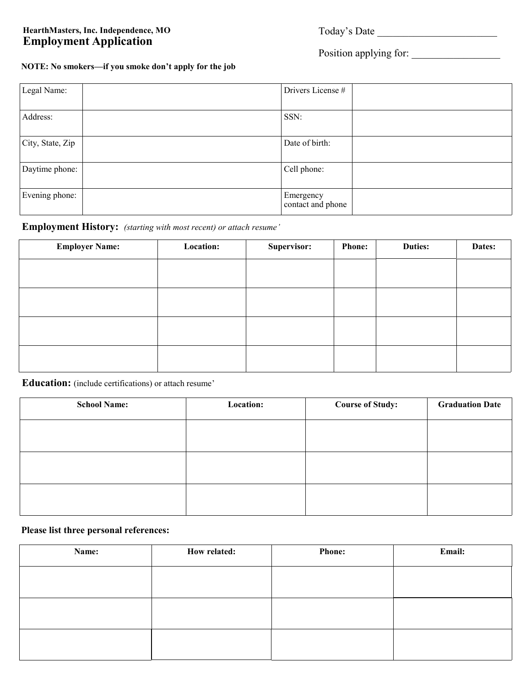### **HearthMasters, Inc. Independence, MO Employment Application**

### Position applying for: \_\_\_\_\_\_\_\_\_\_\_\_\_\_\_\_\_

**NOTE: No smokers—if you smoke don't apply for the job**

| Legal Name:      | Drivers License #              |
|------------------|--------------------------------|
| Address:         | SSN:                           |
| City, State, Zip | Date of birth:                 |
| Daytime phone:   | Cell phone:                    |
| Evening phone:   | Emergency<br>contact and phone |

### **Employment History:** *(starting with most recent) or attach resume'*

| <b>Employer Name:</b> | Location: | Supervisor: | <b>Phone:</b> | <b>Duties:</b> | Dates: |
|-----------------------|-----------|-------------|---------------|----------------|--------|
|                       |           |             |               |                |        |
|                       |           |             |               |                |        |
|                       |           |             |               |                |        |
|                       |           |             |               |                |        |
|                       |           |             |               |                |        |
|                       |           |             |               |                |        |
|                       |           |             |               |                |        |
|                       |           |             |               |                |        |

**Education:** (include certifications) or attach resume'

| <b>School Name:</b> | Location: | <b>Course of Study:</b> | <b>Graduation Date</b> |
|---------------------|-----------|-------------------------|------------------------|
|                     |           |                         |                        |
|                     |           |                         |                        |
|                     |           |                         |                        |
|                     |           |                         |                        |
|                     |           |                         |                        |
|                     |           |                         |                        |

#### **Please list three personal references:**

| Name: | How related: | <b>Phone:</b> | Email: |
|-------|--------------|---------------|--------|
|       |              |               |        |
|       |              |               |        |
|       |              |               |        |
|       |              |               |        |
|       |              |               |        |
|       |              |               |        |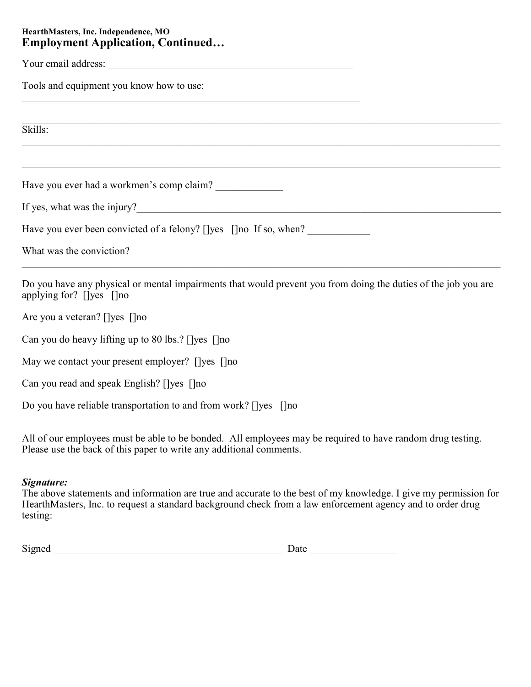### **HearthMasters, Inc. Independence, MO Employment Application, Continued…**

Your email address: \_\_\_\_\_\_\_\_\_\_\_\_\_\_\_\_\_\_\_\_\_\_\_\_\_\_\_\_\_\_\_\_\_\_\_\_\_\_\_\_\_\_\_\_\_\_\_

Tools and equipment you know how to use:

Skills:

Have you ever had a workmen's comp claim? \_\_\_\_\_\_\_\_\_\_\_\_\_

If yes, what was the injury?

Have you ever been convicted of a felony? []yes []no If so, when?

What was the conviction?

Do you have any physical or mental impairments that would prevent you from doing the duties of the job you are applying for? []yes []no

 $\_$  , and the set of the set of the set of the set of the set of the set of the set of the set of the set of the set of the set of the set of the set of the set of the set of the set of the set of the set of the set of th

Are you a veteran? []yes []no

Can you do heavy lifting up to 80 lbs.? []yes []no

May we contact your present employer? []yes []no

Can you read and speak English? []yes []no

Do you have reliable transportation to and from work? []yes []no

All of our employees must be able to be bonded. All employees may be required to have random drug testing. Please use the back of this paper to write any additional comments.

#### *Signature:*

The above statements and information are true and accurate to the best of my knowledge. I give my permission for HearthMasters, Inc. to request a standard background check from a law enforcement agency and to order drug testing:

| $\sim$<br>້ |  |  |
|-------------|--|--|
|             |  |  |